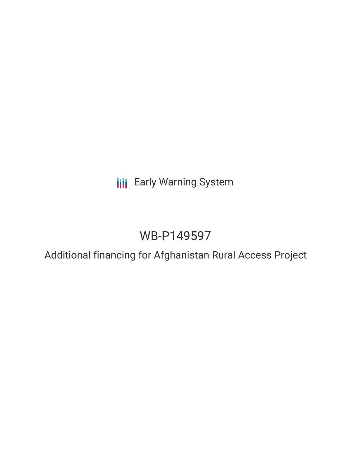**III** Early Warning System

# WB-P149597

Additional financing for Afghanistan Rural Access Project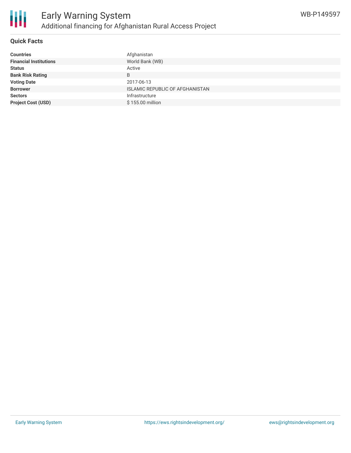

# **Quick Facts**

| <b>Countries</b>              | Afghanistan                            |
|-------------------------------|----------------------------------------|
| <b>Financial Institutions</b> | World Bank (WB)                        |
| <b>Status</b>                 | Active                                 |
| <b>Bank Risk Rating</b>       | B                                      |
| <b>Voting Date</b>            | 2017-06-13                             |
| <b>Borrower</b>               | <b>ISLAMIC REPUBLIC OF AFGHANISTAN</b> |
| <b>Sectors</b>                | Infrastructure                         |
| <b>Project Cost (USD)</b>     | \$155.00 million                       |
|                               |                                        |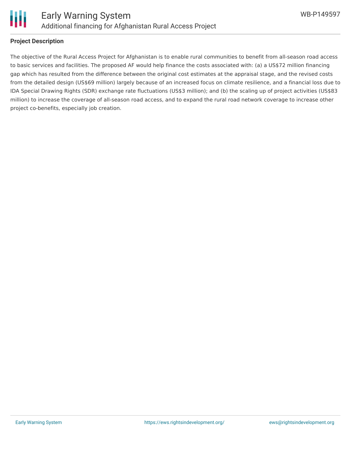

### **Project Description**

The objective of the Rural Access Project for Afghanistan is to enable rural communities to benefit from all-season road access to basic services and facilities. The proposed AF would help finance the costs associated with: (a) a US\$72 million financing gap which has resulted from the difference between the original cost estimates at the appraisal stage, and the revised costs from the detailed design (US\$69 million) largely because of an increased focus on climate resilience, and a financial loss due to IDA Special Drawing Rights (SDR) exchange rate fluctuations (US\$3 million); and (b) the scaling up of project activities (US\$83 million) to increase the coverage of all-season road access, and to expand the rural road network coverage to increase other project co-benefits, especially job creation.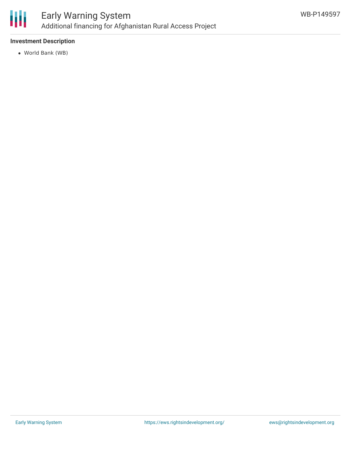

# **Investment Description**

World Bank (WB)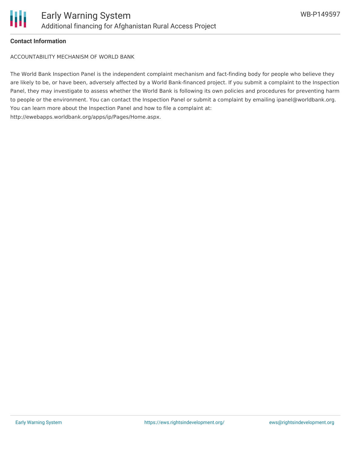

### **Contact Information**

ACCOUNTABILITY MECHANISM OF WORLD BANK

The World Bank Inspection Panel is the independent complaint mechanism and fact-finding body for people who believe they are likely to be, or have been, adversely affected by a World Bank-financed project. If you submit a complaint to the Inspection Panel, they may investigate to assess whether the World Bank is following its own policies and procedures for preventing harm to people or the environment. You can contact the Inspection Panel or submit a complaint by emailing ipanel@worldbank.org. You can learn more about the Inspection Panel and how to file a complaint at: http://ewebapps.worldbank.org/apps/ip/Pages/Home.aspx.